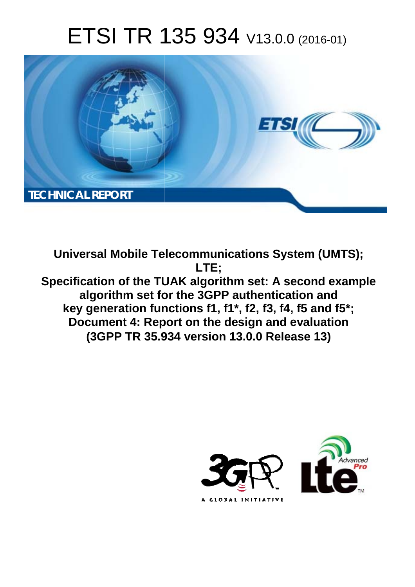# ETSI TR 135 934 V13.0.0 (2016-01)



**Universal Mobile Tel elecommunications System ( (UMTS);** Specification of the TUAK algorithm set: A second example **algorithm set fo for the 3GPP authentication a and key generation fun unctions f1, f1\*, f2, f3, f4, f5 an and f5\*; Document 4: Report on the design and evaluation (3GPP TR 35.9 .934 version 13.0.0 Release 13 13) LTE;** 

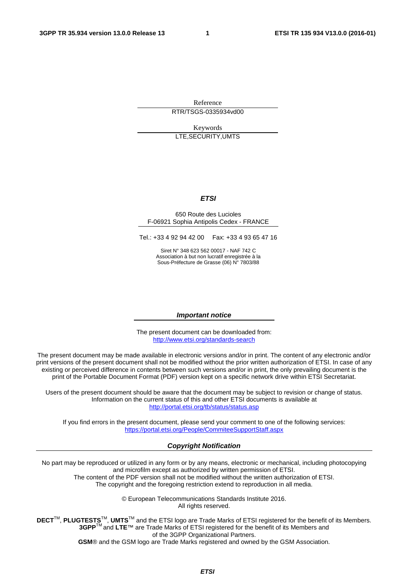Reference RTR/TSGS-0335934vd00

Keywords LTE,SECURITY,UMTS

#### *ETSI*

#### 650 Route des Lucioles F-06921 Sophia Antipolis Cedex - FRANCE

Tel.: +33 4 92 94 42 00 Fax: +33 4 93 65 47 16

Siret N° 348 623 562 00017 - NAF 742 C Association à but non lucratif enregistrée à la Sous-Préfecture de Grasse (06) N° 7803/88

#### *Important notice*

The present document can be downloaded from: <http://www.etsi.org/standards-search>

The present document may be made available in electronic versions and/or in print. The content of any electronic and/or print versions of the present document shall not be modified without the prior written authorization of ETSI. In case of any existing or perceived difference in contents between such versions and/or in print, the only prevailing document is the print of the Portable Document Format (PDF) version kept on a specific network drive within ETSI Secretariat.

Users of the present document should be aware that the document may be subject to revision or change of status. Information on the current status of this and other ETSI documents is available at <http://portal.etsi.org/tb/status/status.asp>

If you find errors in the present document, please send your comment to one of the following services: <https://portal.etsi.org/People/CommiteeSupportStaff.aspx>

#### *Copyright Notification*

No part may be reproduced or utilized in any form or by any means, electronic or mechanical, including photocopying and microfilm except as authorized by written permission of ETSI.

The content of the PDF version shall not be modified without the written authorization of ETSI. The copyright and the foregoing restriction extend to reproduction in all media.

> © European Telecommunications Standards Institute 2016. All rights reserved.

**DECT**TM, **PLUGTESTS**TM, **UMTS**TM and the ETSI logo are Trade Marks of ETSI registered for the benefit of its Members. **3GPP**TM and **LTE**™ are Trade Marks of ETSI registered for the benefit of its Members and of the 3GPP Organizational Partners.

**GSM**® and the GSM logo are Trade Marks registered and owned by the GSM Association.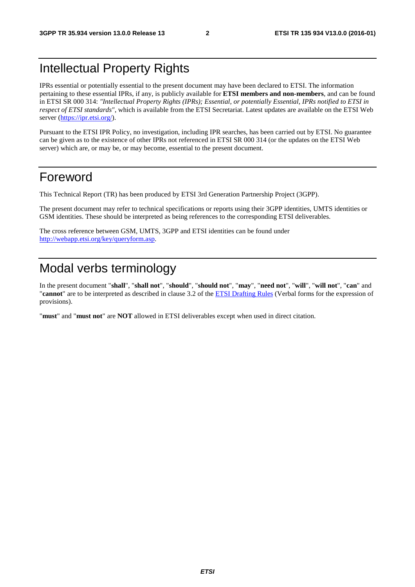# Intellectual Property Rights

IPRs essential or potentially essential to the present document may have been declared to ETSI. The information pertaining to these essential IPRs, if any, is publicly available for **ETSI members and non-members**, and can be found in ETSI SR 000 314: *"Intellectual Property Rights (IPRs); Essential, or potentially Essential, IPRs notified to ETSI in respect of ETSI standards"*, which is available from the ETSI Secretariat. Latest updates are available on the ETSI Web server [\(https://ipr.etsi.org/](https://ipr.etsi.org/)).

Pursuant to the ETSI IPR Policy, no investigation, including IPR searches, has been carried out by ETSI. No guarantee can be given as to the existence of other IPRs not referenced in ETSI SR 000 314 (or the updates on the ETSI Web server) which are, or may be, or may become, essential to the present document.

# Foreword

This Technical Report (TR) has been produced by ETSI 3rd Generation Partnership Project (3GPP).

The present document may refer to technical specifications or reports using their 3GPP identities, UMTS identities or GSM identities. These should be interpreted as being references to the corresponding ETSI deliverables.

The cross reference between GSM, UMTS, 3GPP and ETSI identities can be found under [http://webapp.etsi.org/key/queryform.asp.](http://webapp.etsi.org/key/queryform.asp)

# Modal verbs terminology

In the present document "**shall**", "**shall not**", "**should**", "**should not**", "**may**", "**need not**", "**will**", "**will not**", "**can**" and "**cannot**" are to be interpreted as described in clause 3.2 of the [ETSI Drafting Rules](http://portal.etsi.org/Help/editHelp!/Howtostart/ETSIDraftingRules.aspx) (Verbal forms for the expression of provisions).

"**must**" and "**must not**" are **NOT** allowed in ETSI deliverables except when used in direct citation.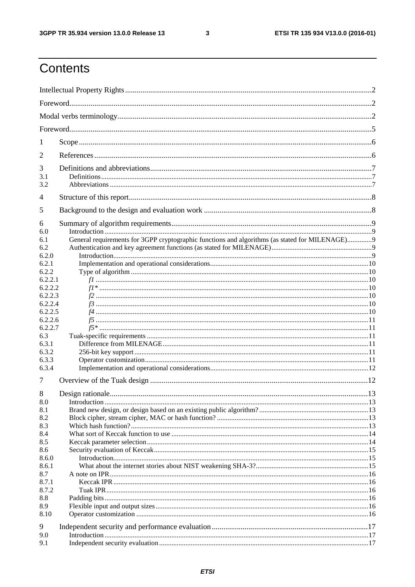$\mathbf{3}$ 

# Contents

| 1              |                                                                                                |  |  |  |
|----------------|------------------------------------------------------------------------------------------------|--|--|--|
| 2              |                                                                                                |  |  |  |
| 3<br>3.1       |                                                                                                |  |  |  |
| 3.2            |                                                                                                |  |  |  |
| $\overline{4}$ |                                                                                                |  |  |  |
| 5              |                                                                                                |  |  |  |
| 6              |                                                                                                |  |  |  |
| 6.0            |                                                                                                |  |  |  |
| 6.1            | General requirements for 3GPP cryptographic functions and algorithms (as stated for MILENAGE)9 |  |  |  |
| 6.2            |                                                                                                |  |  |  |
| 6.2.0          |                                                                                                |  |  |  |
| 6.2.1          |                                                                                                |  |  |  |
| 6.2.2          |                                                                                                |  |  |  |
| 6.2.2.1        |                                                                                                |  |  |  |
| 6.2.2.2        |                                                                                                |  |  |  |
| 6.2.2.3        |                                                                                                |  |  |  |
| 6.2.2.4        |                                                                                                |  |  |  |
| 6.2.2.5        |                                                                                                |  |  |  |
| 6.2.2.6        |                                                                                                |  |  |  |
| 6.2.2.7        |                                                                                                |  |  |  |
| 6.3            |                                                                                                |  |  |  |
| 6.3.1          |                                                                                                |  |  |  |
| 6.3.2          |                                                                                                |  |  |  |
| 6.3.3          |                                                                                                |  |  |  |
| 6.3.4          |                                                                                                |  |  |  |
| 7              |                                                                                                |  |  |  |
| 8<br>8.0       |                                                                                                |  |  |  |
| 8.1            |                                                                                                |  |  |  |
| 8.2            |                                                                                                |  |  |  |
| 8.3            |                                                                                                |  |  |  |
| 8.4            |                                                                                                |  |  |  |
| 8.5            |                                                                                                |  |  |  |
| 8.6            |                                                                                                |  |  |  |
| 8.6.0          |                                                                                                |  |  |  |
| 8.6.1          |                                                                                                |  |  |  |
| 8.7            |                                                                                                |  |  |  |
| 8.7.1          |                                                                                                |  |  |  |
| 8.7.2          |                                                                                                |  |  |  |
| 8.8            |                                                                                                |  |  |  |
| 8.9            |                                                                                                |  |  |  |
| 8.10           |                                                                                                |  |  |  |
|                |                                                                                                |  |  |  |
| 9              |                                                                                                |  |  |  |
| 9.0            |                                                                                                |  |  |  |
| 9.1            |                                                                                                |  |  |  |
|                |                                                                                                |  |  |  |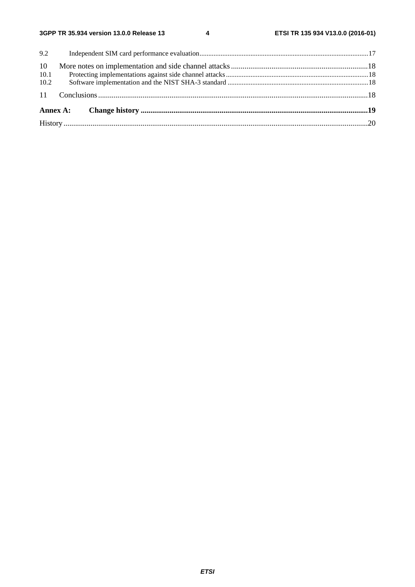$\overline{\mathbf{4}}$ 

| 10   |  |  |  |  |  |  |
|------|--|--|--|--|--|--|
| 10.1 |  |  |  |  |  |  |
| 10.2 |  |  |  |  |  |  |
|      |  |  |  |  |  |  |
|      |  |  |  |  |  |  |
|      |  |  |  |  |  |  |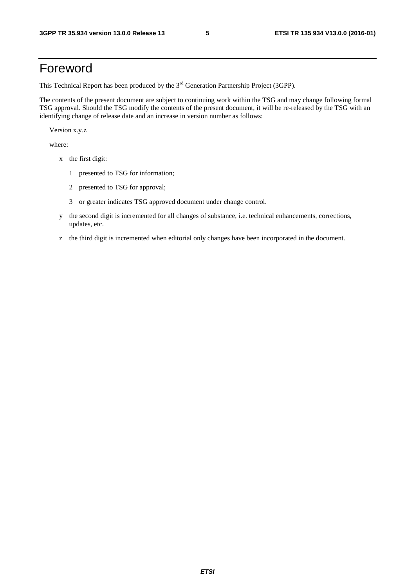# Foreword

This Technical Report has been produced by the  $3<sup>rd</sup>$  Generation Partnership Project (3GPP).

The contents of the present document are subject to continuing work within the TSG and may change following formal TSG approval. Should the TSG modify the contents of the present document, it will be re-released by the TSG with an identifying change of release date and an increase in version number as follows:

Version x.y.z

where:

- x the first digit:
	- 1 presented to TSG for information;
	- 2 presented to TSG for approval;
	- 3 or greater indicates TSG approved document under change control.
- y the second digit is incremented for all changes of substance, i.e. technical enhancements, corrections, updates, etc.
- z the third digit is incremented when editorial only changes have been incorporated in the document.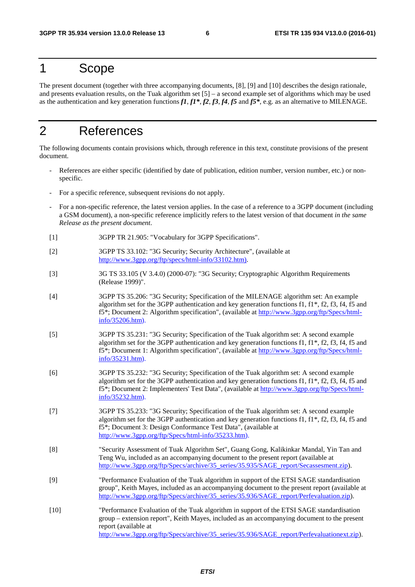# 1 Scope

The present document (together with three accompanying documents, [8], [9] and [10] describes the design rationale, and presents evaluation results, on the Tuak algorithm set [5] – a second example set of algorithms which may be used as the authentication and key generation functions *f1*, *f1\**, *f2*, *f3*, *f4*, *f5* and *f5\**, e.g. as an alternative to MILENAGE.

# 2 References

The following documents contain provisions which, through reference in this text, constitute provisions of the present document.

- References are either specific (identified by date of publication, edition number, version number, etc.) or nonspecific.
- For a specific reference, subsequent revisions do not apply.
- For a non-specific reference, the latest version applies. In the case of a reference to a 3GPP document (including a GSM document), a non-specific reference implicitly refers to the latest version of that document *in the same Release as the present document*.
- [1] 3GPP TR 21.905: "Vocabulary for 3GPP Specifications".
- [2] 3GPP TS 33.102: "3G Security; Security Architecture", (available at [http://www.3gpp.org/ftp/specs/html-info/33102.htm\)](http://www.3gpp.org/ftp/specs/html-info/33102.htm).
- [3] 3G TS 33.105 (V 3.4.0) (2000-07): "3G Security; Cryptographic Algorithm Requirements (Release 1999)".
- [4] 3GPP TS 35.206: "3G Security; Specification of the MILENAGE algorithm set: An example algorithm set for the 3GPP authentication and key generation functions f1,  $f1^*$ ,  $f2$ ,  $f3$ ,  $f4$ ,  $f5$  and f5\*; Document 2: Algorithm specification", (available at [http://www.3gpp.org/ftp/Specs/html](http://www.3gpp.org/ftp/Specs/html-info/35206.htm)[info/35206.htm\)](http://www.3gpp.org/ftp/Specs/html-info/35206.htm).
- [5] 3GPP TS 35.231: "3G Security; Specification of the Tuak algorithm set: A second example algorithm set for the 3GPP authentication and key generation functions f1,  $f1^*$ ,  $f2$ ,  $f3$ ,  $f4$ ,  $f5$  and f5\*; Document 1: Algorithm specification", (available at [http://www.3gpp.org/ftp/Specs/html](http://www.3gpp.org/ftp/Specs/html-info/35231.htm)[info/35231.htm\)](http://www.3gpp.org/ftp/Specs/html-info/35231.htm).
- [6] 3GPP TS 35.232: "3G Security; Specification of the Tuak algorithm set: A second example algorithm set for the 3GPP authentication and key generation functions f1, f1\*, f2, f3, f4, f5 and f5\*; Document 2: Implementers' Test Data", (available at [http://www.3gpp.org/ftp/Specs/html](http://www.3gpp.org/ftp/Specs/html-info/35232.htm)[info/35232.htm\)](http://www.3gpp.org/ftp/Specs/html-info/35232.htm).
- [7] 3GPP TS 35.233: "3G Security; Specification of the Tuak algorithm set: A second example algorithm set for the 3GPP authentication and key generation functions f1, f1\*, f2, f3, f4, f5 and f5\*; Document 3: Design Conformance Test Data", (available at [http://www.3gpp.org/ftp/Specs/html-info/35233.htm\)](http://www.3gpp.org/ftp/Specs/html-info/35233.htm).
- [8] "Security Assessment of Tuak Algorithm Set", Guang Gong, Kalikinkar Mandal, Yin Tan and Teng Wu, included as an accompanying document to the present report (available at [http://www.3gpp.org/ftp/Specs/archive/35\\_series/35.935/SAGE\\_report/Secassesment.zip\)](http://www.3gpp.org/ftp/Specs/archive/35_series/35.935/SAGE_report/Secassesment.zip).
- [9] "Performance Evaluation of the Tuak algorithm in support of the ETSI SAGE standardisation group", Keith Mayes, included as an accompanying document to the present report (available at [http://www.3gpp.org/ftp/Specs/archive/35\\_series/35.936/SAGE\\_report/Perfevaluation.zip\)](http://www.3gpp.org/ftp/Specs/archive/35_series/35.936/SAGE_report/Perfevaluation.zip).
- [10] "Performance Evaluation of the Tuak algorithm in support of the ETSI SAGE standardisation group – extension report", Keith Mayes, included as an accompanying document to the present report (available at [http://www.3gpp.org/ftp/Specs/archive/35\\_series/35.936/SAGE\\_report/Perfevaluationext.zip\)](http://www.3gpp.org/ftp/Specs/archive/35_series/35.936/SAGE_report/Perfevaluationext.zip).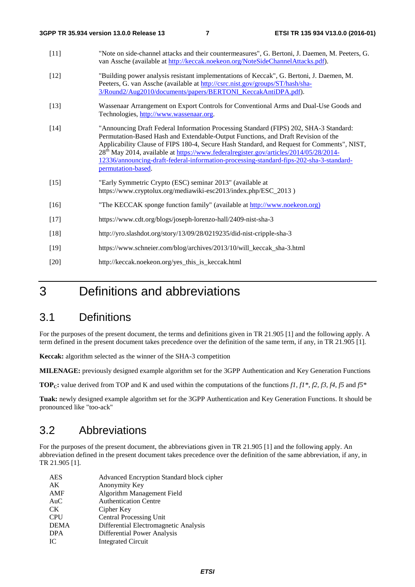- [11] "Note on side-channel attacks and their countermeasures", G. Bertoni, J. Daemen, M. Peeters, G. van Assche (available at [http://keccak.noekeon.org/NoteSideChannelAttacks.pdf\)](http://keccak.noekeon.org/NoteSideChannelAttacks.pdf).
- [12] "Building power analysis resistant implementations of Keccak", G. Bertoni, J. Daemen, M. Peeters, G. van Assche (available at [http://csrc.nist.gov/groups/ST/hash/sha-](http://csrc.nist.gov/groups/ST/hash/sha-3/Round2/Aug2010/documents/papers/BERTONI_KeccakAntiDPA.pdf)[3/Round2/Aug2010/documents/papers/BERTONI\\_KeccakAntiDPA.pdf\)](http://csrc.nist.gov/groups/ST/hash/sha-3/Round2/Aug2010/documents/papers/BERTONI_KeccakAntiDPA.pdf).
- [13] Wassenaar Arrangement on Export Controls for Conventional Arms and Dual-Use Goods and Technologies, [http://www.wassenaar.org.](http://www.wassenaar.org/)
- [14] "Announcing Draft Federal Information Processing Standard (FIPS) 202, SHA-3 Standard: Permutation-Based Hash and Extendable-Output Functions, and Draft Revision of the Applicability Clause of FIPS 180-4, Secure Hash Standard, and Request for Comments", NIST, 28th May 2014, available at [https://www.federalregister.gov/articles/2014/05/28/2014-](https://www.federalregister.gov/articles/2014/05/28/2014-12336/announcing-draft-federal-information-processing-standard-fips-202-sha-3-standard-permutation-based) [12336/announcing-draft-federal-information-processing-standard-fips-202-sha-3-standard](https://www.federalregister.gov/articles/2014/05/28/2014-12336/announcing-draft-federal-information-processing-standard-fips-202-sha-3-standard-permutation-based)[permutation-based.](https://www.federalregister.gov/articles/2014/05/28/2014-12336/announcing-draft-federal-information-processing-standard-fips-202-sha-3-standard-permutation-based)
- [15] "Early Symmetric Crypto (ESC) seminar 2013" (available at https://www.cryptolux.org/mediawiki-esc2013/index.php/ESC\_2013 )
- [16] "The KECCAK sponge function family" (available at [http://www.noekeon.org](http://www.noekeon.org/))
- [17] https://www.cdt.org/blogs/joseph-lorenzo-hall/2409-nist-sha-3
- [18] http://yro.slashdot.org/story/13/09/28/0219235/did-nist-cripple-sha-3
- [19] https://www.schneier.com/blog/archives/2013/10/will\_keccak\_sha-3.html
- [20] http://keccak.noekeon.org/yes\_this\_is\_keccak.html

# 3 Definitions and abbreviations

# 3.1 Definitions

For the purposes of the present document, the terms and definitions given in TR 21.905 [1] and the following apply. A term defined in the present document takes precedence over the definition of the same term, if any, in TR 21.905 [1].

**Keccak:** algorithm selected as the winner of the SHA-3 competition

**MILENAGE:** previously designed example algorithm set for the 3GPP Authentication and Key Generation Functions

**TOP<sub>C</sub>:** value derived from TOP and K and used within the computations of the functions *f1, f1\*, f2, f3, f4, f5* and *f5\** 

**Tuak:** newly designed example algorithm set for the 3GPP Authentication and Key Generation Functions. It should be pronounced like "too-ack"

# 3.2 Abbreviations

For the purposes of the present document, the abbreviations given in TR 21.905 [1] and the following apply. An abbreviation defined in the present document takes precedence over the definition of the same abbreviation, if any, in TR 21.905 [1].

| <b>AES</b>  | Advanced Encryption Standard block cipher |
|-------------|-------------------------------------------|
| AK          | Anonymity Key                             |
| AMF         | Algorithm Management Field                |
| AuC         | <b>Authentication Centre</b>              |
| CK.         | Cipher Key                                |
| <b>CPU</b>  | <b>Central Processing Unit</b>            |
| <b>DEMA</b> | Differential Electromagnetic Analysis     |
| <b>DPA</b>  | Differential Power Analysis               |
| IC          | <b>Integrated Circuit</b>                 |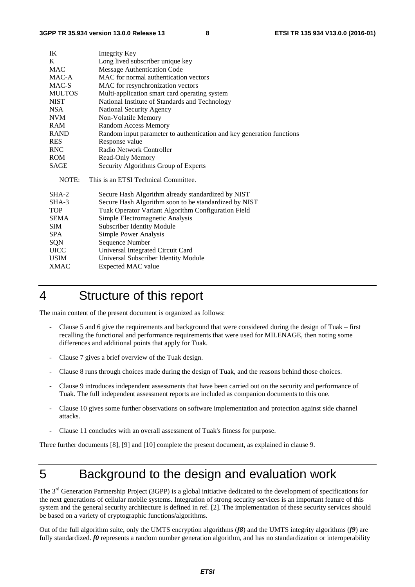| IK            | Integrity Key                                                         |
|---------------|-----------------------------------------------------------------------|
| K             | Long lived subscriber unique key                                      |
| <b>MAC</b>    | Message Authentication Code                                           |
| MAC-A         | MAC for normal authentication vectors                                 |
| MAC-S         | MAC for resynchronization vectors                                     |
| <b>MULTOS</b> | Multi-application smart card operating system                         |
| <b>NIST</b>   | National Institute of Standards and Technology                        |
| NSA.          | <b>National Security Agency</b>                                       |
| <b>NVM</b>    | Non-Volatile Memory                                                   |
| RAM           | <b>Random Access Memory</b>                                           |
| <b>RAND</b>   | Random input parameter to authentication and key generation functions |
| <b>RES</b>    | Response value                                                        |
| <b>RNC</b>    | Radio Network Controller                                              |
| <b>ROM</b>    | Read-Only Memory                                                      |
| SAGE          | Security Algorithms Group of Experts                                  |
| NOTE:         | This is an ETSI Technical Committee.                                  |
| $SHA-2$       | Secure Hash Algorithm already standardized by NIST                    |
| SHA-3         | Secure Hash Algorithm soon to be standardized by NIST                 |
| <b>TOP</b>    | Tuak Operator Variant Algorithm Configuration Field                   |
| <b>SEMA</b>   | Simple Electromagnetic Analysis                                       |
| <b>SIM</b>    | <b>Subscriber Identity Module</b>                                     |
| <b>SPA</b>    | Simple Power Analysis                                                 |
| SQN           | Sequence Number                                                       |
| <b>UICC</b>   | Universal Integrated Circuit Card                                     |
| <b>USIM</b>   | Universal Subscriber Identity Module                                  |
| <b>XMAC</b>   | Expected MAC value                                                    |

# 4 Structure of this report

The main content of the present document is organized as follows:

- Clause 5 and 6 give the requirements and background that were considered during the design of Tuak first recalling the functional and performance requirements that were used for MILENAGE, then noting some differences and additional points that apply for Tuak.
- Clause 7 gives a brief overview of the Tuak design.
- Clause 8 runs through choices made during the design of Tuak, and the reasons behind those choices.
- Clause 9 introduces independent assessments that have been carried out on the security and performance of Tuak. The full independent assessment reports are included as companion documents to this one.
- Clause 10 gives some further observations on software implementation and protection against side channel attacks.
- Clause 11 concludes with an overall assessment of Tuak's fitness for purpose.

Three further documents [8], [9] and [10] complete the present document, as explained in clause 9.

# 5 Background to the design and evaluation work

The 3<sup>rd</sup> Generation Partnership Project (3GPP) is a global initiative dedicated to the development of specifications for the next generations of cellular mobile systems. Integration of strong security services is an important feature of this system and the general security architecture is defined in ref. [2]. The implementation of these security services should be based on a variety of cryptographic functions/algorithms.

Out of the full algorithm suite, only the UMTS encryption algorithms (*f8*) and the UMTS integrity algorithms (*f9*) are fully standardized. *f0* represents a random number generation algorithm, and has no standardization or interoperability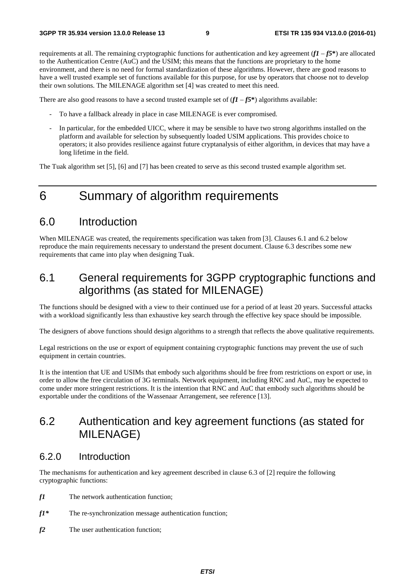requirements at all. The remaining cryptographic functions for authentication and key agreement  $(fI - f5^*)$  are allocated to the Authentication Centre (AuC) and the USIM; this means that the functions are proprietary to the home environment, and there is no need for formal standardization of these algorithms. However, there are good reasons to have a well trusted example set of functions available for this purpose, for use by operators that choose not to develop their own solutions. The MILENAGE algorithm set [4] was created to meet this need.

There are also good reasons to have a second trusted example set of  $(fI - f5^*)$  algorithms available:

- To have a fallback already in place in case MILENAGE is ever compromised.
- In particular, for the embedded UICC, where it may be sensible to have two strong algorithms installed on the platform and available for selection by subsequently loaded USIM applications. This provides choice to operators; it also provides resilience against future cryptanalysis of either algorithm, in devices that may have a long lifetime in the field.

The Tuak algorithm set [5], [6] and [7] has been created to serve as this second trusted example algorithm set.

# 6 Summary of algorithm requirements

### 6.0 Introduction

When MILENAGE was created, the requirements specification was taken from [3]. Clauses 6.1 and 6.2 below reproduce the main requirements necessary to understand the present document. Clause 6.3 describes some new requirements that came into play when designing Tuak.

# 6.1 General requirements for 3GPP cryptographic functions and algorithms (as stated for MILENAGE)

The functions should be designed with a view to their continued use for a period of at least 20 years. Successful attacks with a workload significantly less than exhaustive key search through the effective key space should be impossible.

The designers of above functions should design algorithms to a strength that reflects the above qualitative requirements.

Legal restrictions on the use or export of equipment containing cryptographic functions may prevent the use of such equipment in certain countries.

It is the intention that UE and USIMs that embody such algorithms should be free from restrictions on export or use, in order to allow the free circulation of 3G terminals. Network equipment, including RNC and AuC, may be expected to come under more stringent restrictions. It is the intention that RNC and AuC that embody such algorithms should be exportable under the conditions of the Wassenaar Arrangement, see reference [13].

# 6.2 Authentication and key agreement functions (as stated for MILENAGE)

#### 6.2.0 Introduction

The mechanisms for authentication and key agreement described in clause 6.3 of [2] require the following cryptographic functions:

- *f1* The network authentication function;
- *f1\** The re-synchronization message authentication function;
- *f2* The user authentication function;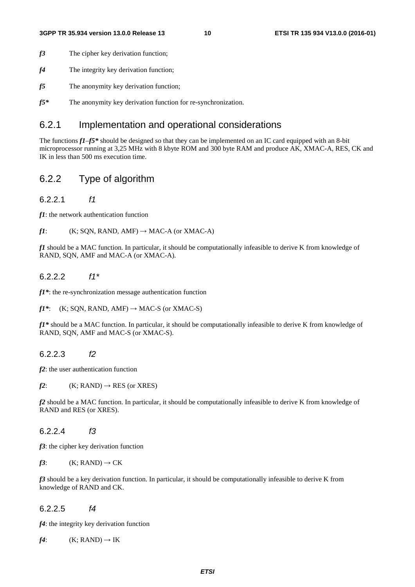- *f3* The cipher key derivation function;
- *f4* The integrity key derivation function;
- *f5* The anonymity key derivation function;
- *f5\** The anonymity key derivation function for re-synchronization.

### 6.2.1 Implementation and operational considerations

The functions *f1*–*f5\** should be designed so that they can be implemented on an IC card equipped with an 8-bit microprocessor running at 3,25 MHz with 8 kbyte ROM and 300 byte RAM and produce AK, XMAC-A, RES, CK and IK in less than 500 ms execution time.

### 6.2.2 Type of algorithm

#### 6.2.2.1 *f1*

*f1*: the network authentication function

#### $f1$ : (K; SQN, RAND, AMF)  $\rightarrow$  MAC-A (or XMAC-A)

*f1* should be a MAC function. In particular, it should be computationally infeasible to derive K from knowledge of RAND, SQN, AMF and MAC-A (or XMAC-A).

#### 6.2.2.2 *f1\**

*f1\**: the re-synchronization message authentication function

 $f1^*$ : (K; SQN, RAND, AMF)  $\rightarrow$  MAC-S (or XMAC-S)

*f1\** should be a MAC function. In particular, it should be computationally infeasible to derive K from knowledge of RAND, SQN, AMF and MAC-S (or XMAC-S).

#### 6.2.2.3 *f2*

*f2*: the user authentication function

 $f2$ : (K; RAND)  $\rightarrow$  RES (or XRES)

*f2* should be a MAC function. In particular, it should be computationally infeasible to derive K from knowledge of RAND and RES (or XRES).

#### 6.2.2.4 *f3*

*f3*: the cipher key derivation function

 $f3:$  (K; RAND)  $\rightarrow$  CK

*f3* should be a key derivation function. In particular, it should be computationally infeasible to derive K from knowledge of RAND and CK.

#### 6.2.2.5 *f4*

*f4*: the integrity key derivation function

 $f4$ : (K; RAND)  $\rightarrow$  IK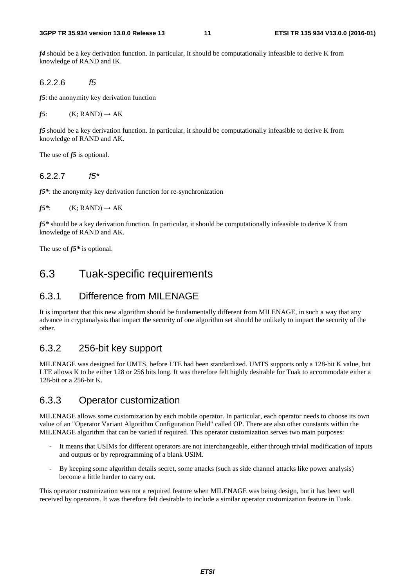*f4* should be a key derivation function. In particular, it should be computationally infeasible to derive K from knowledge of RAND and IK.

6.2.2.6 *f5*

*f5*: the anonymity key derivation function

 $f5:$  (K; RAND)  $\rightarrow$  AK

*f5* should be a key derivation function. In particular, it should be computationally infeasible to derive K from knowledge of RAND and AK.

The use of *f5* is optional.

#### 6.2.2.7 *f5\**

*f5\**: the anonymity key derivation function for re-synchronization

 $f5^*$ : (K; RAND)  $\rightarrow$  AK

*f5\** should be a key derivation function. In particular, it should be computationally infeasible to derive K from knowledge of RAND and AK.

The use of *f5\** is optional.

### 6.3 Tuak-specific requirements

### 6.3.1 Difference from MILENAGE

It is important that this new algorithm should be fundamentally different from MILENAGE, in such a way that any advance in cryptanalysis that impact the security of one algorithm set should be unlikely to impact the security of the other.

#### 6.3.2 256-bit key support

MILENAGE was designed for UMTS, before LTE had been standardized. UMTS supports only a 128-bit K value, but LTE allows K to be either 128 or 256 bits long. It was therefore felt highly desirable for Tuak to accommodate either a 128-bit or a 256-bit K.

#### 6.3.3 Operator customization

MILENAGE allows some customization by each mobile operator. In particular, each operator needs to choose its own value of an "Operator Variant Algorithm Configuration Field" called OP. There are also other constants within the MILENAGE algorithm that can be varied if required. This operator customization serves two main purposes:

- It means that USIMs for different operators are not interchangeable, either through trivial modification of inputs and outputs or by reprogramming of a blank USIM.
- By keeping some algorithm details secret, some attacks (such as side channel attacks like power analysis) become a little harder to carry out.

This operator customization was not a required feature when MILENAGE was being design, but it has been well received by operators. It was therefore felt desirable to include a similar operator customization feature in Tuak.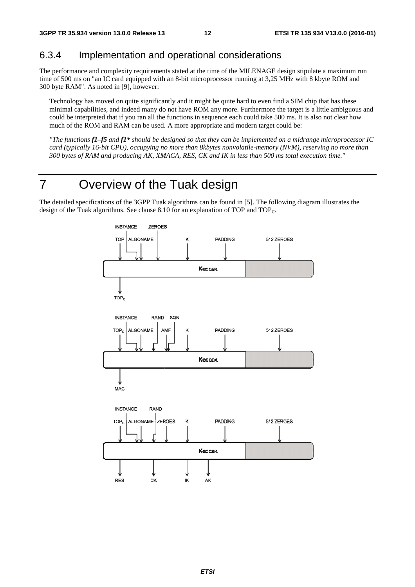### 6.3.4 Implementation and operational considerations

The performance and complexity requirements stated at the time of the MILENAGE design stipulate a maximum run time of 500 ms on "an IC card equipped with an 8-bit microprocessor running at 3,25 MHz with 8 kbyte ROM and 300 byte RAM". As noted in [9], however:

Technology has moved on quite significantly and it might be quite hard to even find a SIM chip that has these minimal capabilities, and indeed many do not have ROM any more. Furthermore the target is a little ambiguous and could be interpreted that if you ran all the functions in sequence each could take 500 ms. It is also not clear how much of the ROM and RAM can be used. A more appropriate and modern target could be:

*"The functions f1–f5* and *f1\** should be designed so that they can be implemented on a midrange microprocessor IC *card (typically 16-bit CPU), occupying no more than 8kbytes nonvolatile-memory (NVM), reserving no more than* 300 bytes of RAM and producing AK, XMACA, RES, CK and IK in less than 500 ms total execution time."

# 7 Overview of the Tuak design

The detailed specifications of the 3GPP Tuak algorithms can be found in [5]. The following diagram illustrates the design of the Tuak algorithms. See clause 8.10 for an explanation of TOP and TOP<sub>C</sub>.

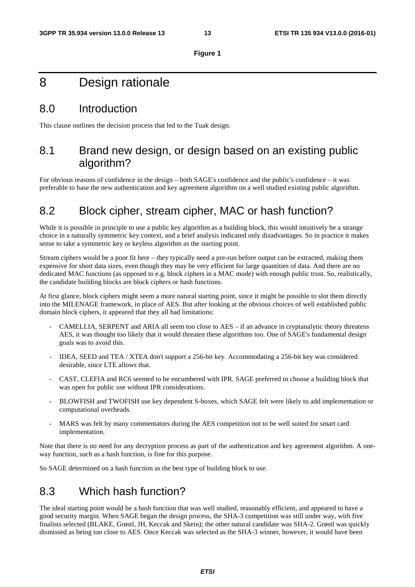#### **Figure 1**

# 8 Design rationale

### 8.0 Introduction

This clause outlines the decision process that led to the Tuak design.

# 8.1 Brand new design, or design based on an existing public algorithm?

For obvious reasons of confidence in the design – both SAGE's confidence and the public's confidence – it was preferable to base the new authentication and key agreement algorithm on a well studied existing public algorithm.

# 8.2 Block cipher, stream cipher, MAC or hash function?

While it is possible in principle to use a public key algorithm as a building block, this would intuitively be a strange choice in a naturally symmetric key context, and a brief analysis indicated only dizadvantages. So in practice it makes sense to take a symmetric key or keyless algorithm as the starting point.

Stream ciphers would be a poor fit here – they typically need a pre-run before output can be extracted, making them expensive for short data sizes, even though they may be very efficient for large quantities of data. And there are no dedicated MAC functions (as opposed to e.g. block ciphers in a MAC mode) with enough public trust. So, realistically, the candidate building blocks are block ciphers or hash functions.

At first glance, block ciphers might seem a more natural starting point, since it might be possible to slot them directly into the MILENAGE framework, in place of AES. But after looking at the obvious choices of well established public domain block ciphers, it appeared that they all had limitations:

- CAMELLIA, SERPENT and ARIA all seem too close to  $AES if$  an advance in cryptanalytic theory threatens AES, it was thought too likely that it would threaten these algorithms too. One of SAGE's fundamental design goals was to avoid this.
- IDEA, SEED and TEA / XTEA don't support a 256-bit key. Accommodating a 256-bit key was considered desirable, since LTE allows that.
- CAST, CLEFIA and RC6 seemed to be encumbered with IPR. SAGE preferred to choose a building block that was open for public use without IPR considerations.
- BLOWFISH and TWOFISH use key dependent S-boxes, which SAGE felt were likely to add implementation or computational overheads.
- MARS was felt by many commentators during the AES competition not to be well suited for smart card implementation.

Note that there is no need for any decryption process as part of the authentication and key agreement algorithm. A oneway function, such as a hash function, is fine for this purpose.

So SAGE determined on a hash function as the best type of building block to use.

# 8.3 Which hash function?

The ideal starting point would be a hash function that was well studied, reasonably efficient, and appeared to have a good security margin. When SAGE began the design process, the SHA-3 competition was still under way, with five finalists selected (BLAKE, Grøstl, JH, Keccak and Skein); the other natural candidate was SHA-2. Grøstl was quickly dismissed as being too close to AES. Once Keccak was selected as the SHA-3 winner, however, it would have been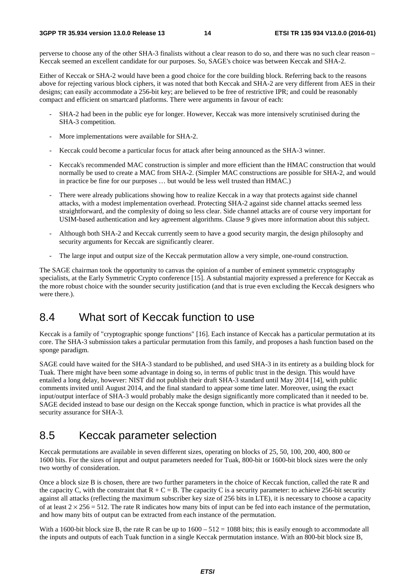perverse to choose any of the other SHA-3 finalists without a clear reason to do so, and there was no such clear reason – Keccak seemed an excellent candidate for our purposes. So, SAGE's choice was between Keccak and SHA-2.

Either of Keccak or SHA-2 would have been a good choice for the core building block. Referring back to the reasons above for rejecting various block ciphers, it was noted that both Keccak and SHA-2 are very different from AES in their designs; can easily accommodate a 256-bit key; are believed to be free of restrictive IPR; and could be reasonably compact and efficient on smartcard platforms. There were arguments in favour of each:

- SHA-2 had been in the public eye for longer. However, Keccak was more intensively scrutinised during the SHA-3 competition.
- More implementations were available for SHA-2.
- Keccak could become a particular focus for attack after being announced as the SHA-3 winner.
- Keccak's recommended MAC construction is simpler and more efficient than the HMAC construction that would normally be used to create a MAC from SHA-2. (Simpler MAC constructions are possible for SHA-2, and would in practice be fine for our purposes … but would be less well trusted than HMAC.)
- There were already publications showing how to realize Keccak in a way that protects against side channel attacks, with a modest implementation overhead. Protecting SHA-2 against side channel attacks seemed less straightforward, and the complexity of doing so less clear. Side channel attacks are of course very important for USIM-based authentication and key agreement algorithms. Clause 9 gives more information about this subject.
- Although both SHA-2 and Keccak currently seem to have a good security margin, the design philosophy and security arguments for Keccak are significantly clearer.
- The large input and output size of the Keccak permutation allow a very simple, one-round construction.

The SAGE chairman took the opportunity to canvas the opinion of a number of eminent symmetric cryptography specialists, at the Early Symmetric Crypto conference [15]. A substantial majority expressed a preference for Keccak as the more robust choice with the sounder security justification (and that is true even excluding the Keccak designers who were there.).

### 8.4 What sort of Keccak function to use

Keccak is a family of "cryptographic sponge functions" [16]. Each instance of Keccak has a particular permutation at its core. The SHA-3 submission takes a particular permutation from this family, and proposes a hash function based on the sponge paradigm.

SAGE could have waited for the SHA-3 standard to be published, and used SHA-3 in its entirety as a building block for Tuak. There might have been some advantage in doing so, in terms of public trust in the design. This would have entailed a long delay, however: NIST did not publish their draft SHA-3 standard until May 2014 [14], with public comments invited until August 2014, and the final standard to appear some time later. Moreover, using the exact input/output interface of SHA-3 would probably make the design significantly more complicated than it needed to be. SAGE decided instead to base our design on the Keccak sponge function, which in practice is what provides all the security assurance for SHA-3.

### 8.5 Keccak parameter selection

Keccak permutations are available in seven different sizes, operating on blocks of 25, 50, 100, 200, 400, 800 or 1600 bits. For the sizes of input and output parameters needed for Tuak, 800-bit or 1600-bit block sizes were the only two worthy of consideration.

Once a block size B is chosen, there are two further parameters in the choice of Keccak function, called the rate R and the capacity C, with the constraint that  $R + C = B$ . The capacity C is a security parameter: to achieve 256-bit security against all attacks (reflecting the maximum subscriber key size of 256 bits in LTE), it is necessary to choose a capacity of at least  $2 \times 256 = 512$ . The rate R indicates how many bits of input can be fed into each instance of the permutation, and how many bits of output can be extracted from each instance of the permutation.

With a 1600-bit block size B, the rate R can be up to  $1600 - 512 = 1088$  bits; this is easily enough to accommodate all the inputs and outputs of each Tuak function in a single Keccak permutation instance. With an 800-bit block size B,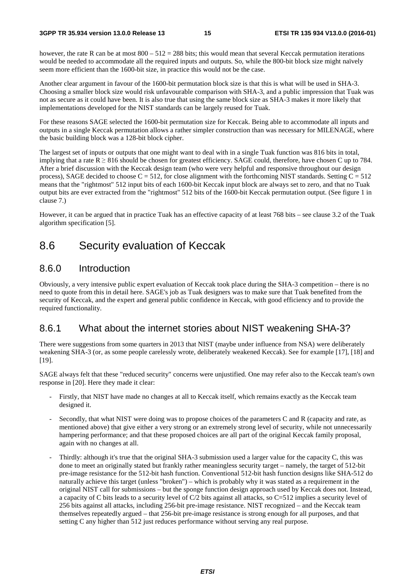however, the rate R can be at most  $800 - 512 = 288$  bits; this would mean that several Keccak permutation iterations would be needed to accommodate all the required inputs and outputs. So, while the 800-bit block size might naïvely seem more efficient than the 1600-bit size, in practice this would not be the case.

Another clear argument in favour of the 1600-bit permutation block size is that this is what will be used in SHA-3. Choosing a smaller block size would risk unfavourable comparison with SHA-3, and a public impression that Tuak was not as secure as it could have been. It is also true that using the same block size as SHA-3 makes it more likely that implementations developed for the NIST standards can be largely reused for Tuak.

For these reasons SAGE selected the 1600-bit permutation size for Keccak. Being able to accommodate all inputs and outputs in a single Keccak permutation allows a rather simpler construction than was necessary for MILENAGE, where the basic building block was a 128-bit block cipher.

The largest set of inputs or outputs that one might want to deal with in a single Tuak function was 816 bits in total, implying that a rate  $R \geq 816$  should be chosen for greatest efficiency. SAGE could, therefore, have chosen C up to 784. After a brief discussion with the Keccak design team (who were very helpful and responsive throughout our design process), SAGE decided to choose  $C = 512$ , for close alignment with the forthcoming NIST standards. Setting  $C = 512$ means that the "rightmost" 512 input bits of each 1600-bit Keccak input block are always set to zero, and that no Tuak output bits are ever extracted from the "rightmost" 512 bits of the 1600-bit Keccak permutation output. (See figure 1 in clause 7.)

However, it can be argued that in practice Tuak has an effective capacity of at least 768 bits – see clause 3.2 of the Tuak algorithm specification [5].

### 8.6 Security evaluation of Keccak

#### 8.6.0 Introduction

Obviously, a very intensive public expert evaluation of Keccak took place during the SHA-3 competition – there is no need to quote from this in detail here. SAGE's job as Tuak designers was to make sure that Tuak benefited from the security of Keccak, and the expert and general public confidence in Keccak, with good efficiency and to provide the required functionality.

### 8.6.1 What about the internet stories about NIST weakening SHA-3?

There were suggestions from some quarters in 2013 that NIST (maybe under influence from NSA) were deliberately weakening SHA-3 (or, as some people carelessly wrote, deliberately weakened Keccak). See for example [17], [18] and [19].

SAGE always felt that these "reduced security" concerns were unjustified. One may refer also to the Keccak team's own response in [20]. Here they made it clear:

- Firstly, that NIST have made no changes at all to Keccak itself, which remains exactly as the Keccak team designed it.
- Secondly, that what NIST were doing was to propose choices of the parameters C and R (capacity and rate, as mentioned above) that give either a very strong or an extremely strong level of security, while not unnecessarily hampering performance; and that these proposed choices are all part of the original Keccak family proposal, again with no changes at all.
- Thirdly: although it's true that the original SHA-3 submission used a larger value for the capacity C, this was done to meet an originally stated but frankly rather meaningless security target – namely, the target of 512-bit pre-image resistance for the 512-bit hash function. Conventional 512-bit hash function designs like SHA-512 do naturally achieve this target (unless "broken") – which is probably why it was stated as a requirement in the original NIST call for submissions – but the sponge function design approach used by Keccak does not. Instead, a capacity of C bits leads to a security level of C/2 bits against all attacks, so C=512 implies a security level of 256 bits against all attacks, including 256-bit pre-image resistance. NIST recognized – and the Keccak team themselves repeatedly argued – that 256-bit pre-image resistance is strong enough for all purposes, and that setting C any higher than 512 just reduces performance without serving any real purpose.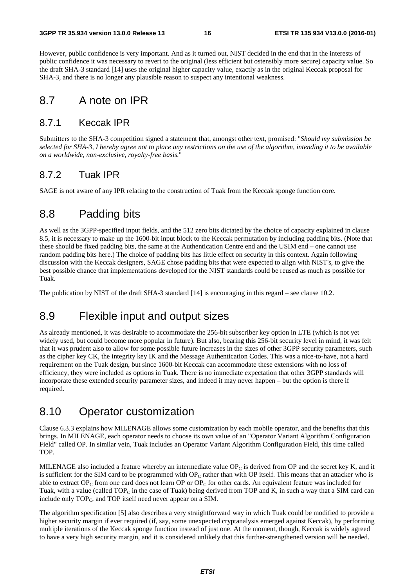However, public confidence is very important. And as it turned out, NIST decided in the end that in the interests of public confidence it was necessary to revert to the original (less efficient but ostensibly more secure) capacity value. So the draft SHA-3 standard [14] uses the original higher capacity value, exactly as in the original Keccak proposal for SHA-3, and there is no longer any plausible reason to suspect any intentional weakness.

### 8.7 A note on IPR

#### 8.7.1 Keccak IPR

Submitters to the SHA-3 competition signed a statement that, amongst other text, promised: "*Should my submission be selected for SHA-3, I hereby agree not to place any restrictions on the use of the algorithm, intending it to be available on a worldwide, non-exclusive, royalty-free basis.*"

#### 8.7.2 Tuak IPR

SAGE is not aware of any IPR relating to the construction of Tuak from the Keccak sponge function core.

### 8.8 Padding bits

As well as the 3GPP-specified input fields, and the 512 zero bits dictated by the choice of capacity explained in clause 8.5, it is necessary to make up the 1600-bit input block to the Keccak permutation by including padding bits. (Note that these should be fixed padding bits, the same at the Authentication Centre end and the USIM end – one cannot use random padding bits here.) The choice of padding bits has little effect on security in this context. Again following discussion with the Keccak designers, SAGE chose padding bits that were expected to align with NIST's, to give the best possible chance that implementations developed for the NIST standards could be reused as much as possible for Tuak.

The publication by NIST of the draft SHA-3 standard [14] is encouraging in this regard – see clause 10.2.

# 8.9 Flexible input and output sizes

As already mentioned, it was desirable to accommodate the 256-bit subscriber key option in LTE (which is not yet widely used, but could become more popular in future). But also, bearing this 256-bit security level in mind, it was felt that it was prudent also to allow for some possible future increases in the sizes of other 3GPP security parameters, such as the cipher key CK, the integrity key IK and the Message Authentication Codes. This was a nice-to-have, not a hard requirement on the Tuak design, but since 1600-bit Keccak can accommodate these extensions with no loss of efficiency, they were included as options in Tuak. There is no immediate expectation that other 3GPP standards will incorporate these extended security parameter sizes, and indeed it may never happen – but the option is there if required.

# 8.10 Operator customization

Clause 6.3.3 explains how MILENAGE allows some customization by each mobile operator, and the benefits that this brings. In MILENAGE, each operator needs to choose its own value of an "Operator Variant Algorithm Configuration Field" called OP. In similar vein, Tuak includes an Operator Variant Algorithm Configuration Field, this time called TOP.

MILENAGE also included a feature whereby an intermediate value OP<sub>C</sub> is derived from OP and the secret key K, and it is sufficient for the SIM card to be programmed with  $OP<sub>C</sub>$  rather than with OP itself. This means that an attacker who is able to extract  $OP_C$  from one card does not learn OP or  $OP_C$  for other cards. An equivalent feature was included for Tuak, with a value (called  $TOP_C$  in the case of Tuak) being derived from TOP and K, in such a way that a SIM card can include only  $TOP_C$ , and  $TOP$  itself need never appear on a SIM.

The algorithm specification [5] also describes a very straightforward way in which Tuak could be modified to provide a higher security margin if ever required (if, say, some unexpected cryptanalysis emerged against Keccak), by performing multiple iterations of the Keccak sponge function instead of just one. At the moment, though, Keccak is widely agreed to have a very high security margin, and it is considered unlikely that this further-strengthened version will be needed.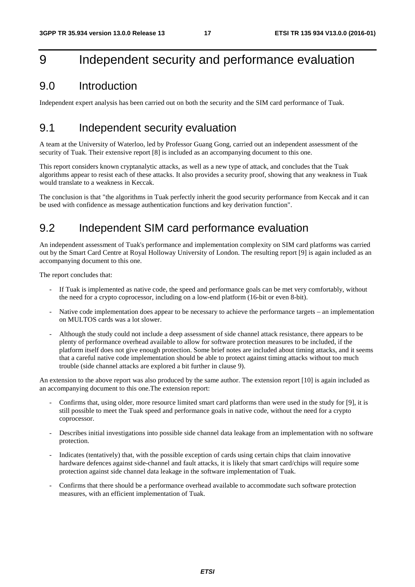# 9 Independent security and performance evaluation

### 9.0 Introduction

Independent expert analysis has been carried out on both the security and the SIM card performance of Tuak.

### 9.1 Independent security evaluation

A team at the University of Waterloo, led by Professor Guang Gong, carried out an independent assessment of the security of Tuak. Their extensive report [8] is included as an accompanying document to this one.

This report considers known cryptanalytic attacks, as well as a new type of attack, and concludes that the Tuak algorithms appear to resist each of these attacks. It also provides a security proof, showing that any weakness in Tuak would translate to a weakness in Keccak.

The conclusion is that "the algorithms in Tuak perfectly inherit the good security performance from Keccak and it can be used with confidence as message authentication functions and key derivation function".

# 9.2 Independent SIM card performance evaluation

An independent assessment of Tuak's performance and implementation complexity on SIM card platforms was carried out by the Smart Card Centre at Royal Holloway University of London. The resulting report [9] is again included as an accompanying document to this one.

The report concludes that:

- If Tuak is implemented as native code, the speed and performance goals can be met very comfortably, without the need for a crypto coprocessor, including on a low-end platform (16-bit or even 8-bit).
- Native code implementation does appear to be necessary to achieve the performance targets an implementation on MULTOS cards was a lot slower.
- Although the study could not include a deep assessment of side channel attack resistance, there appears to be plenty of performance overhead available to allow for software protection measures to be included, if the platform itself does not give enough protection. Some brief notes are included about timing attacks, and it seems that a careful native code implementation should be able to protect against timing attacks without too much trouble (side channel attacks are explored a bit further in clause 9).

An extension to the above report was also produced by the same author. The extension report [10] is again included as an accompanying document to this one.The extension report:

- Confirms that, using older, more resource limited smart card platforms than were used in the study for [9], it is still possible to meet the Tuak speed and performance goals in native code, without the need for a crypto coprocessor.
- Describes initial investigations into possible side channel data leakage from an implementation with no software protection.
- Indicates (tentatively) that, with the possible exception of cards using certain chips that claim innovative hardware defences against side-channel and fault attacks, it is likely that smart card/chips will require some protection against side channel data leakage in the software implementation of Tuak.
- Confirms that there should be a performance overhead available to accommodate such software protection measures, with an efficient implementation of Tuak.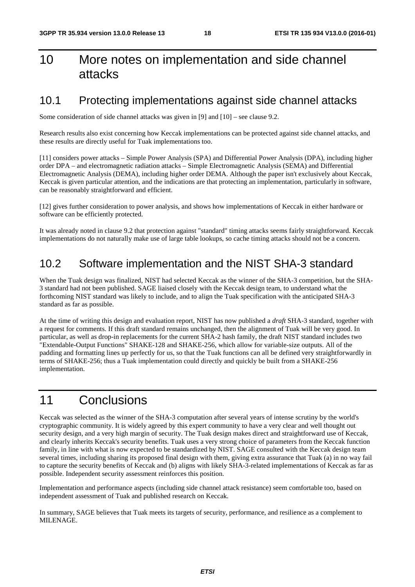# 10 More notes on implementation and side channel attacks

### 10.1 Protecting implementations against side channel attacks

Some consideration of side channel attacks was given in [9] and [10] – see clause 9.2.

Research results also exist concerning how Keccak implementations can be protected against side channel attacks, and these results are directly useful for Tuak implementations too.

[11] considers power attacks – Simple Power Analysis (SPA) and Differential Power Analysis (DPA), including higher order DPA – and electromagnetic radiation attacks – Simple Electromagnetic Analysis (SEMA) and Differential Electromagnetic Analysis (DEMA), including higher order DEMA. Although the paper isn't exclusively about Keccak, Keccak is given particular attention, and the indications are that protecting an implementation, particularly in software, can be reasonably straightforward and efficient.

[12] gives further consideration to power analysis, and shows how implementations of Keccak in either hardware or software can be efficiently protected.

It was already noted in clause 9.2 that protection against "standard" timing attacks seems fairly straightforward. Keccak implementations do not naturally make use of large table lookups, so cache timing attacks should not be a concern.

### 10.2 Software implementation and the NIST SHA-3 standard

When the Tuak design was finalized, NIST had selected Keccak as the winner of the SHA-3 competition, but the SHA-3 standard had not been published. SAGE liaised closely with the Keccak design team, to understand what the forthcoming NIST standard was likely to include, and to align the Tuak specification with the anticipated SHA-3 standard as far as possible.

At the time of writing this design and evaluation report, NIST has now published a *draft* SHA-3 standard, together with a request for comments. If this draft standard remains unchanged, then the alignment of Tuak will be very good. In particular, as well as drop-in replacements for the current SHA-2 hash family, the draft NIST standard includes two "Extendable-Output Functions" SHAKE-128 and SHAKE-256, which allow for variable-size outputs. All of the padding and formatting lines up perfectly for us, so that the Tuak functions can all be defined very straightforwardly in terms of SHAKE-256; thus a Tuak implementation could directly and quickly be built from a SHAKE-256 implementation.

# 11 Conclusions

Keccak was selected as the winner of the SHA-3 computation after several years of intense scrutiny by the world's cryptographic community. It is widely agreed by this expert community to have a very clear and well thought out security design, and a very high margin of security. The Tuak design makes direct and straightforward use of Keccak, and clearly inherits Keccak's security benefits. Tuak uses a very strong choice of parameters from the Keccak function family, in line with what is now expected to be standardized by NIST. SAGE consulted with the Keccak design team several times, including sharing its proposed final design with them, giving extra assurance that Tuak (a) in no way fail to capture the security benefits of Keccak and (b) aligns with likely SHA-3-related implementations of Keccak as far as possible. Independent security assessment reinforces this position.

Implementation and performance aspects (including side channel attack resistance) seem comfortable too, based on independent assessment of Tuak and published research on Keccak.

In summary, SAGE believes that Tuak meets its targets of security, performance, and resilience as a complement to MILENAGE.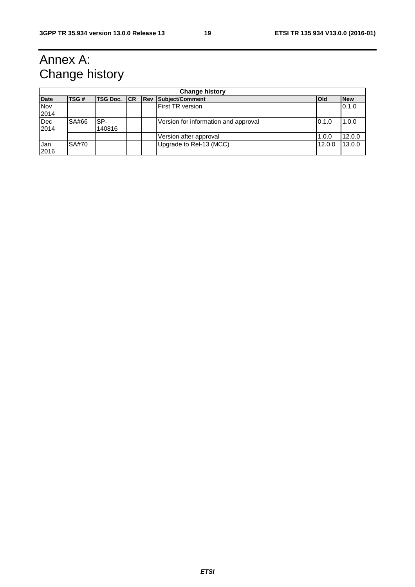# Annex A: Change history

| <b>Change history</b> |       |                 |  |                                      |            |            |
|-----------------------|-------|-----------------|--|--------------------------------------|------------|------------|
| <b>Date</b>           | TSG#  | TSG Doc. CR Rev |  | Subject/Comment                      | <b>Old</b> | <b>New</b> |
| Nov<br>2014           |       |                 |  | <b>First TR version</b>              |            | 0.1.0      |
| Dec<br>2014           | SA#66 | SP-<br>140816   |  | Version for information and approval | 0.1.0      | 1.0.0      |
|                       |       |                 |  | Version after approval               | 1.0.0      | 12.0.0     |
| Jan<br>2016           | SA#70 |                 |  | Upgrade to Rel-13 (MCC)              | 12.0.0     | 13.0.0     |